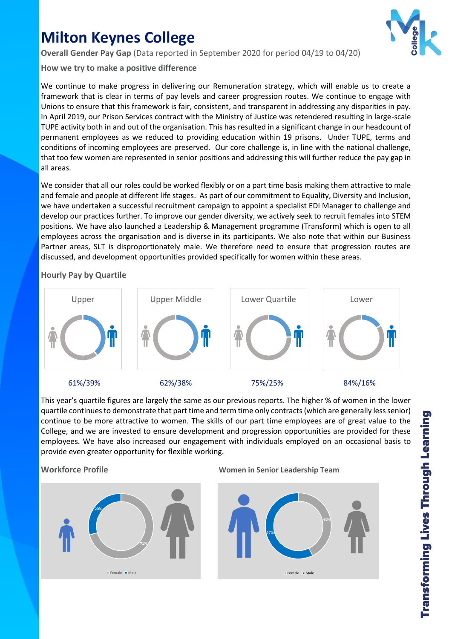# **Milton Keynes College**

**Overall Gender Pay Gap** (Data reported in September 2020 for period 04/19 to 04/20)

**How we try to make a positive difference**

We continue to make progress in delivering our Remuneration strategy, which will enable us to create a framework that is clear in terms of pay levels and career progression routes. We continue to engage with Unions to ensure that this framework is fair, consistent, and transparent in addressing any disparities in pay. In April 2019, our Prison Services contract with the Ministry of Justice was retendered resulting in large-scale TUPE activity both in and out of the organisation. This has resulted in a significant change in our headcount of permanent employees as we reduced to providing education within 19 prisons. Under TUPE, terms and conditions of incoming employees are preserved. Our core challenge is, in line with the national challenge, that too few women are represented in senior positions and addressing this will further reduce the pay gap in all areas.

We consider that all our roles could be worked flexibly or on a part time basis making them attractive to male and female and people at different life stages. As part of our commitment to Equality, Diversity and Inclusion, we have undertaken a successful recruitment campaign to appoint a specialist EDI Manager to challenge and develop our practices further. To improve our gender diversity, we actively seek to recruit females into STEM positions. We have also launched a Leadership & Management programme (Transform) which is open to all employees across the organisation and is diverse in its participants. We also note that within our Business Partner areas, SLT is disproportionately male. We therefore need to ensure that progression routes are discussed, and development opportunities provided specifically for women within these areas.

# **Hourly Pay by Quartile**



This year's quartile figures are largely the same as our previous reports. The higher % of women in the lower quartile continues to demonstrate that part time and term time only contracts (which are generally less senior) continue to be more attractive to women. The skills of our part time employees are of great value to the College, and we are invested to ensure development and progression opportunities are provided for these employees. We have also increased our engagement with individuals employed on an occasional basis to provide even greater opportunity for flexible working.



# **Workforce Profile Women in Senior Leadership Team**



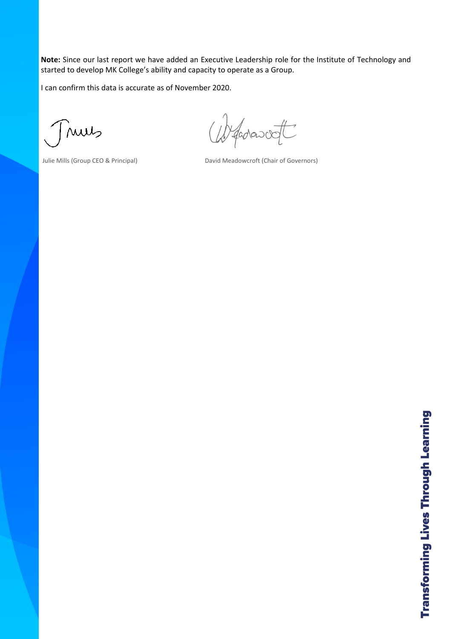**Note:** Since our last report we have added an Executive Leadership role for the Institute of Technology and started to develop MK College's ability and capacity to operate as a Group.

I can confirm this data is accurate as of November 2020.

nues

fadasost

Julie Mills (Group CEO & Principal) David Meadowcroft (Chair of Governors)